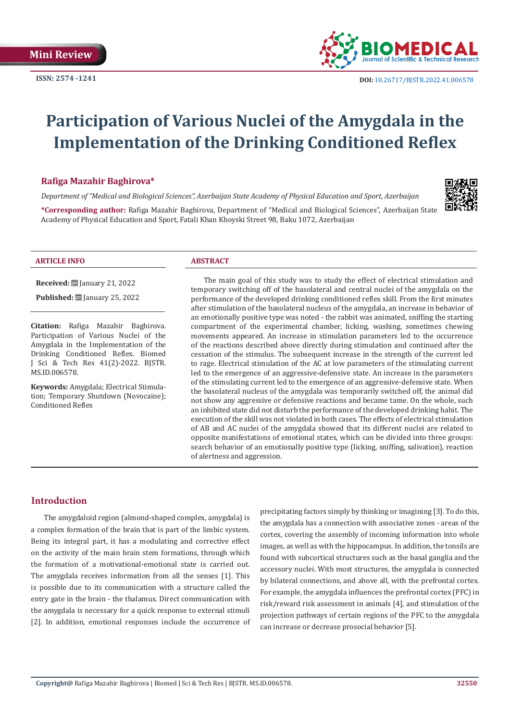

# **Participation of Various Nuclei of the Amygdala in the Implementation of the Drinking Conditioned Reflex**

#### **Rafiga Mazahir Baghirova\***

*Department of "Medical and Biological Sciences", Azerbaijan State Academy of Physical Education and Sport, Azerbaijan*

**\*Corresponding author:** Rafiga Mazahir Baghirova, Department of "Medical and Biological Sciences", Azerbaijan State Academy of Physical Education and Sport, Fatali Khan Khoyski Street 98, Baku 1072, Azerbaijan

#### **ARTICLE INFO ABSTRACT**

MS.ID.006578.

**Citation:** Rafiga Mazahir Baghirova. Participation of Various Nuclei of the Amygdala in the Implementation of the Drinking Conditioned Reflex. Biomed J Sci & Tech Res 41(2)-2022. BJSTR.

**Received:** [201] January 21, 2022 **Published:** ■ January 25, 2022

**Keywords:** Amygdala; Electrical Stimulation; Temporary Shutdown (Novocaine); Conditioned Reflex

The main goal of this study was to study the effect of electrical stimulation and temporary switching off of the basolateral and central nuclei of the amygdala on the performance of the developed drinking conditioned reflex skill. From the first minutes after stimulation of the basolateral nucleus of the amygdala, an increase in behavior of an emotionally positive type was noted - the rabbit was animated, sniffing the starting compartment of the experimental chamber, licking, washing, sometimes chewing movements appeared. An increase in stimulation parameters led to the occurrence of the reactions described above directly during stimulation and continued after the cessation of the stimulus. The subsequent increase in the strength of the current led to rage. Electrical stimulation of the AC at low parameters of the stimulating current led to the emergence of an aggressive-defensive state. An increase in the parameters of the stimulating current led to the emergence of an aggressive-defensive state. When the basolateral nucleus of the amygdala was temporarily switched off, the animal did not show any aggressive or defensive reactions and became tame. On the whole, such an inhibited state did not disturb the performance of the developed drinking habit. The execution of the skill was not violated in both cases. The effects of electrical stimulation of AB and AC nuclei of the amygdala showed that its different nuclei are related to opposite manifestations of emotional states, which can be divided into three groups: search behavior of an emotionally positive type (licking, sniffing, salivation), reaction of alertness and aggression.

## **Introduction**

The amygdaloid region (almond-shaped complex, amygdala) is a complex formation of the brain that is part of the limbic system. Being its integral part, it has a modulating and corrective effect on the activity of the main brain stem formations, through which the formation of a motivational-emotional state is carried out. The amygdala receives information from all the senses [1]. This is possible due to its communication with a structure called the entry gate in the brain - the thalamus. Direct communication with the amygdala is necessary for a quick response to external stimuli [2]. In addition, emotional responses include the occurrence of

precipitating factors simply by thinking or imagining [3]. To do this, the amygdala has a connection with associative zones - areas of the cortex, covering the assembly of incoming information into whole images, as well as with the hippocampus. In addition, the tonsils are found with subcortical structures such as the basal ganglia and the accessory nuclei. With most structures, the amygdala is connected by bilateral connections, and above all, with the prefrontal cortex. For example, the amygdala influences the prefrontal cortex (PFC) in risk/reward risk assessment in animals [4], and stimulation of the projection pathways of certain regions of the PFC to the amygdala can increase or decrease prosocial behavior [5].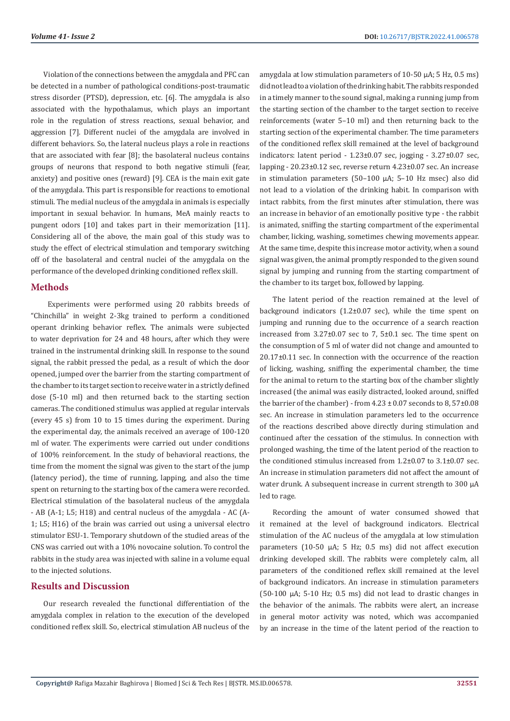Violation of the connections between the amygdala and PFC can be detected in a number of pathological conditions-post-traumatic stress disorder (PTSD), depression, etc. [6]. The amygdala is also associated with the hypothalamus, which plays an important role in the regulation of stress reactions, sexual behavior, and aggression [7]. Different nuclei of the amygdala are involved in different behaviors. So, the lateral nucleus plays a role in reactions that are associated with fear [8]; the basolateral nucleus contains groups of neurons that respond to both negative stimuli (fear, anxiety) and positive ones (reward) [9]. CEA is the main exit gate of the amygdala. This part is responsible for reactions to emotional stimuli. The medial nucleus of the amygdala in animals is especially important in sexual behavior. In humans, MeA mainly reacts to pungent odors [10] and takes part in their memorization [11]. Considering all of the above, the main goal of this study was to study the effect of electrical stimulation and temporary switching off of the basolateral and central nuclei of the amygdala on the performance of the developed drinking conditioned reflex skill.

#### **Methods**

 Experiments were performed using 20 rabbits breeds of "Chinchilla" in weight 2-3kg trained to perform a conditioned operant drinking behavior reflex. The animals were subjected to water deprivation for 24 and 48 hours, after which they were trained in the instrumental drinking skill. In response to the sound signal, the rabbit pressed the pedal, as a result of which the door opened, jumped over the barrier from the starting compartment of the chamber to its target section to receive water in a strictly defined dose (5-10 ml) and then returned back to the starting section cameras. The conditioned stimulus was applied at regular intervals (every 45 s) from 10 to 15 times during the experiment. During the experimental day, the animals received an average of 100-120 ml of water. The experiments were carried out under conditions of 100% reinforcement. In the study of behavioral reactions, the time from the moment the signal was given to the start of the jump (latency period), the time of running, lapping, and also the time spent on returning to the starting box of the camera were recorded. Electrical stimulation of the basolateral nucleus of the amygdala - AB (А-1; L5; Н18) and central nucleus of the amygdala - AC (А-1; L5; Н16) of the brain was carried out using a universal electro stimulator ESU-1. Temporary shutdown of the studied areas of the CNS was carried out with a 10% novocaine solution. To control the rabbits in the study area was injected with saline in a volume equal to the injected solutions.

#### **Results and Discussion**

Our research revealed the functional differentiation of the amygdala complex in relation to the execution of the developed conditioned reflex skill. So, electrical stimulation AB nucleus of the amygdala at low stimulation parameters of 10-50 μA; 5 Hz, 0.5 ms) did not lead to a violation of the drinking habit. The rabbits responded in a timely manner to the sound signal, making a running jump from the starting section of the chamber to the target section to receive reinforcements (water 5–10 ml) and then returning back to the starting section of the experimental chamber. The time parameters of the conditioned reflex skill remained at the level of background indicators: latent period - 1.23±0.07 sec, jogging - 3.27±0.07 sec, lapping - 20.23±0.12 sec, reverse return 4.23±0.07 sec. An increase in stimulation parameters (50–100 μA; 5–10 Hz msec) also did not lead to a violation of the drinking habit. In comparison with intact rabbits, from the first minutes after stimulation, there was an increase in behavior of an emotionally positive type - the rabbit is animated, sniffing the starting compartment of the experimental chamber, licking, washing, sometimes chewing movements appear. At the same time, despite this increase motor activity, when a sound signal was given, the animal promptly responded to the given sound signal by jumping and running from the starting compartment of the chamber to its target box, followed by lapping.

The latent period of the reaction remained at the level of background indicators (1.2±0.07 sec), while the time spent on jumping and running due to the occurrence of a search reaction increased from 3.27±0.07 sec to 7, 5±0.1 sec. The time spent on the consumption of 5 ml of water did not change and amounted to 20.17±0.11 sec. In connection with the occurrence of the reaction of licking, washing, sniffing the experimental chamber, the time for the animal to return to the starting box of the chamber slightly increased (the animal was easily distracted, looked around, sniffed the barrier of the chamber) - from  $4.23 \pm 0.07$  seconds to  $8.57\pm0.08$ sec. An increase in stimulation parameters led to the occurrence of the reactions described above directly during stimulation and continued after the cessation of the stimulus. In connection with prolonged washing, the time of the latent period of the reaction to the conditioned stimulus increased from 1.2±0.07 to 3.1±0.07 sec. An increase in stimulation parameters did not affect the amount of water drunk. A subsequent increase in current strength to 300 μA led to rage.

Recording the amount of water consumed showed that it remained at the level of background indicators. Electrical stimulation of the AC nucleus of the amygdala at low stimulation parameters (10-50 μA; 5 Hz; 0.5 ms) did not affect execution drinking developed skill. The rabbits were completely calm, all parameters of the conditioned reflex skill remained at the level of background indicators. An increase in stimulation parameters (50-100 μA; 5-10 Hz; 0.5 ms) did not lead to drastic changes in the behavior of the animals. The rabbits were alert, an increase in general motor activity was noted, which was accompanied by an increase in the time of the latent period of the reaction to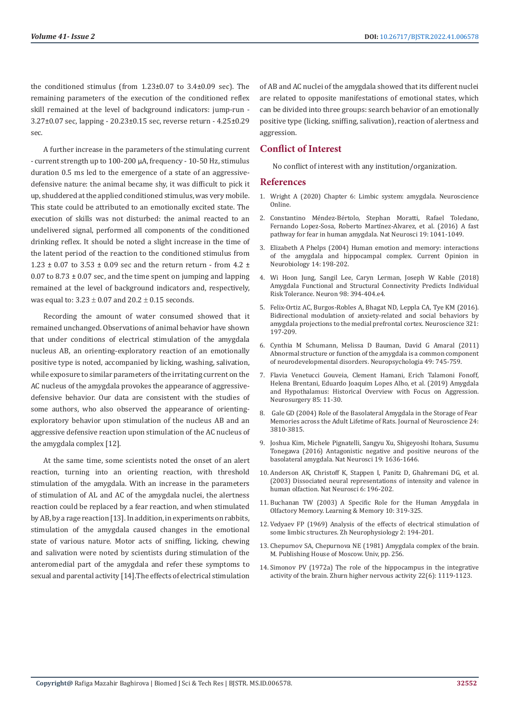the conditioned stimulus (from 1.23±0.07 to 3.4±0.09 sec). The remaining parameters of the execution of the conditioned reflex skill remained at the level of background indicators: jump-run - 3.27±0.07 sec, lapping - 20.23±0.15 sec, reverse return - 4.25±0.29 sec.

A further increase in the parameters of the stimulating current - current strength up to 100-200 μA, frequency - 10-50 Hz, stimulus duration 0.5 ms led to the emergence of a state of an aggressivedefensive nature: the animal became shy, it was difficult to pick it up, shuddered at the applied conditioned stimulus, was very mobile. This state could be attributed to an emotionally excited state. The execution of skills was not disturbed: the animal reacted to an undelivered signal, performed all components of the conditioned drinking reflex. It should be noted a slight increase in the time of the latent period of the reaction to the conditioned stimulus from 1.23  $\pm$  0.07 to 3.53  $\pm$  0.09 sec and the return return - from 4.2  $\pm$  $0.07$  to  $8.73 \pm 0.07$  sec, and the time spent on jumping and lapping remained at the level of background indicators and, respectively, was equal to:  $3.23 \pm 0.07$  and  $20.2 \pm 0.15$  seconds.

Recording the amount of water consumed showed that it remained unchanged. Observations of animal behavior have shown that under conditions of electrical stimulation of the amygdala nucleus AB, an orienting-exploratory reaction of an emotionally positive type is noted, accompanied by licking, washing, salivation, while exposure to similar parameters of the irritating current on the AC nucleus of the amygdala provokes the appearance of aggressivedefensive behavior. Our data are consistent with the studies of some authors, who also observed the appearance of orientingexploratory behavior upon stimulation of the nucleus AB and an aggressive defensive reaction upon stimulation of the AC nucleus of the amygdala complex [12].

At the same time, some scientists noted the onset of an alert reaction, turning into an orienting reaction, with threshold stimulation of the amygdala. With an increase in the parameters of stimulation of AL and AC of the amygdala nuclei, the alertness reaction could be replaced by a fear reaction, and when stimulated by AB, by a rage reaction [13]. In addition, in experiments on rabbits, stimulation of the amygdala caused changes in the emotional state of various nature. Motor acts of sniffing, licking, chewing and salivation were noted by scientists during stimulation of the anteromedial part of the amygdala and refer these symptoms to sexual and parental activity [14].The effects of electrical stimulation

of AB and AC nuclei of the amygdala showed that its different nuclei are related to opposite manifestations of emotional states, which can be divided into three groups: search behavior of an emotionally positive type (licking, sniffing, salivation), reaction of alertness and aggression.

### **Conflict of Interest**

No conflict of interest with any institution/organization.

#### **References**

- 1. Wright A (2020) Chapter 6: Limbic system: amygdala. Neuroscience Online.
- 2. [Constantino Méndez-Bértolo, Stephan Moratti, Rafael Toledano,](https://pubmed.ncbi.nlm.nih.gov/27294508/) [Fernando Lopez-Sosa, Roberto Martínez-Alvarez, et al. \(2016\) A fast](https://pubmed.ncbi.nlm.nih.gov/27294508/) [pathway for fear in human amygdala. Nat Neurosci 19: 1041-1049.](https://pubmed.ncbi.nlm.nih.gov/27294508/)
- 3. [Elizabeth A Phelps \(2004\) Human emotion and memory: interactions](https://pubmed.ncbi.nlm.nih.gov/15082325/) [of the amygdala and hippocampal complex. Current Opinion in](https://pubmed.ncbi.nlm.nih.gov/15082325/) [Neurobiology 14: 198-202.](https://pubmed.ncbi.nlm.nih.gov/15082325/)
- 4. [Wi Hoon Jung, Sangil Lee, Caryn Lerman, Joseph W Kable \(2018\)](https://pubmed.ncbi.nlm.nih.gov/29628186/) [Amygdala Functional and Structural Connectivity Predicts Individual](https://pubmed.ncbi.nlm.nih.gov/29628186/) [Risk Tolerance. Neuron 98: 394-404.e4.](https://pubmed.ncbi.nlm.nih.gov/29628186/)
- 5. [Felix-Ortiz AC, Burgos-Robles A, Bhagat ND, Leppla CA, Tye KM \(2016\).](https://pubmed.ncbi.nlm.nih.gov/26204817/) [Bidirectional modulation of anxiety-related and social behaviors by](https://pubmed.ncbi.nlm.nih.gov/26204817/) [amygdala projections to the medial prefrontal cortex. Neuroscience 321:](https://pubmed.ncbi.nlm.nih.gov/26204817/) [197-209.](https://pubmed.ncbi.nlm.nih.gov/26204817/)
- 6. [Cynthia M Schumann, Melissa D Bauman, David G Amaral \(2011\)](https://pubmed.ncbi.nlm.nih.gov/20950634/) [Abnormal structure or function of the amygdala is a common component](https://pubmed.ncbi.nlm.nih.gov/20950634/) [of neurodevelopmental disorders. Neuropsychologia 49: 745-759.](https://pubmed.ncbi.nlm.nih.gov/20950634/)
- 7. [Flavia Venetucci Gouveia, Clement Hamani, Erich Talamoni Fonoff,](https://www.ncbi.nlm.nih.gov/pmc/articles/PMC6565484/) [Helena Brentani, Eduardo Joaquim Lopes Alho, et al. \(2019\) Amygdala](https://www.ncbi.nlm.nih.gov/pmc/articles/PMC6565484/) [and Hypothalamus: Historical Overview with Focus on Aggression.](https://www.ncbi.nlm.nih.gov/pmc/articles/PMC6565484/) [Neurosurgery 85: 11-30.](https://www.ncbi.nlm.nih.gov/pmc/articles/PMC6565484/)
- 8. [Gale GD \(2004\) Role of the Basolateral Amygdala in the Storage of Fear](https://pubmed.ncbi.nlm.nih.gov/15084662/)  [Memories across the Adult Lifetime of Rats. Journal of Neuroscience 24:](https://pubmed.ncbi.nlm.nih.gov/15084662/) [3810-3815.](https://pubmed.ncbi.nlm.nih.gov/15084662/)
- 9. [Joshua Kim, Michele Pignatelli, Sangyu Xu, Shigeyoshi Itohara, Susumu](https://pubmed.ncbi.nlm.nih.gov/27749826/) [Tonegawa \(2016\) Antagonistic negative and positive neurons of the](https://pubmed.ncbi.nlm.nih.gov/27749826/) [basolateral amygdala. Nat Neurosci 19: 1636-1646.](https://pubmed.ncbi.nlm.nih.gov/27749826/)
- 10. [Anderson AK, Christoff K, Stappen I, Panitz D, Ghahremani DG, et al.](https://pubmed.ncbi.nlm.nih.gov/12536208/https:/pubmed.ncbi.nlm.nih.gov/12536208/) [\(2003\) Dissociated neural representations of intensity and valence in](https://pubmed.ncbi.nlm.nih.gov/12536208/https:/pubmed.ncbi.nlm.nih.gov/12536208/) [human olfaction. Nat Neurosci 6: 196-202.](https://pubmed.ncbi.nlm.nih.gov/12536208/https:/pubmed.ncbi.nlm.nih.gov/12536208/)
- 11. [Buchanan TW \(2003\) A Specific Role for the Human Amygdala in](https://pubmed.ncbi.nlm.nih.gov/14557604/) [Olfactory Memory. Learning & Memory 10: 319-325.](https://pubmed.ncbi.nlm.nih.gov/14557604/)
- 12. Vedyaev FP (1969) Analysis of the effects of electrical stimulation of some limbic structures. Zh Neurophysiology 2: 194-201.
- 13. Chepurnov SA, Chepurnova NE (1981) Amygdala complex of the brain. M. Publishing House of Moscow. Univ, pp. 256.
- 14. Simonov PV (1972a) The role of the hippocampus in the integrative activity of the brain. Zhurn higher nervous activity 22(6): 1119-1123.